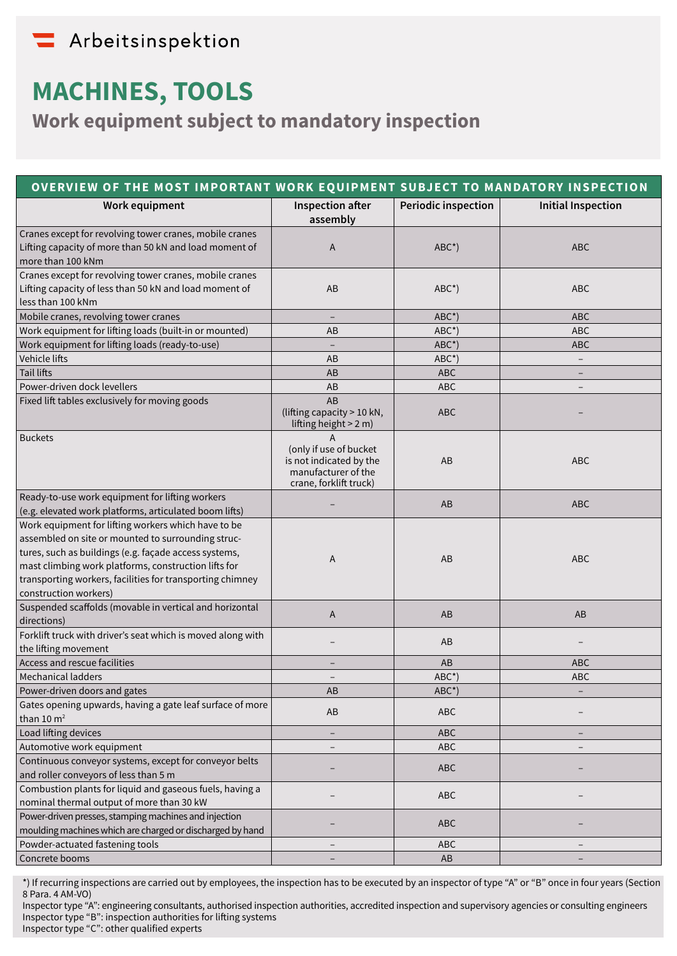## Arbeitsinspektion

# **MACHINES, TOOLS**

**Work equipment subject to mandatory inspection**

| OVERVIEW OF THE MOST IMPORTANT WORK EQUIPMENT SUBJECT TO MANDATORY INSPECTION                                                                                                                                                                                                                                    |                                                                                                         |                     |                           |
|------------------------------------------------------------------------------------------------------------------------------------------------------------------------------------------------------------------------------------------------------------------------------------------------------------------|---------------------------------------------------------------------------------------------------------|---------------------|---------------------------|
| Work equipment                                                                                                                                                                                                                                                                                                   | Inspection after<br>assembly                                                                            | Periodic inspection | <b>Initial Inspection</b> |
| Cranes except for revolving tower cranes, mobile cranes<br>Lifting capacity of more than 50 kN and load moment of<br>more than 100 kNm                                                                                                                                                                           | A                                                                                                       | $ABC^{\star}$ )     | <b>ABC</b>                |
| Cranes except for revolving tower cranes, mobile cranes<br>Lifting capacity of less than 50 kN and load moment of<br>less than 100 kNm                                                                                                                                                                           | AB                                                                                                      | $ABC^{\star}$ )     | <b>ABC</b>                |
| Mobile cranes, revolving tower cranes                                                                                                                                                                                                                                                                            | $\qquad \qquad -$                                                                                       | $ABC^{\star}$ )     | <b>ABC</b>                |
| Work equipment for lifting loads (built-in or mounted)                                                                                                                                                                                                                                                           | AB                                                                                                      | $ABC^{\star}$ )     | ABC                       |
| Work equipment for lifting loads (ready-to-use)                                                                                                                                                                                                                                                                  | $\qquad \qquad -$                                                                                       | $ABC^{\star}$ )     | ABC                       |
| Vehicle lifts                                                                                                                                                                                                                                                                                                    | AB                                                                                                      | $ABC^{\star}$ )     | $\overline{\phantom{a}}$  |
| <b>Tail lifts</b>                                                                                                                                                                                                                                                                                                | AB                                                                                                      | <b>ABC</b>          |                           |
| Power-driven dock levellers                                                                                                                                                                                                                                                                                      | AB                                                                                                      | <b>ABC</b>          |                           |
| Fixed lift tables exclusively for moving goods                                                                                                                                                                                                                                                                   | AB<br>(lifting capacity > 10 kN,<br>lifting height > 2 m)                                               | <b>ABC</b>          |                           |
| <b>Buckets</b>                                                                                                                                                                                                                                                                                                   | A<br>(only if use of bucket<br>is not indicated by the<br>manufacturer of the<br>crane, forklift truck) | AB                  | <b>ABC</b>                |
| Ready-to-use work equipment for lifting workers<br>(e.g. elevated work platforms, articulated boom lifts)                                                                                                                                                                                                        |                                                                                                         | AB                  | <b>ABC</b>                |
| Work equipment for lifting workers which have to be<br>assembled on site or mounted to surrounding struc-<br>tures, such as buildings (e.g. façade access systems,<br>mast climbing work platforms, construction lifts for<br>transporting workers, facilities for transporting chimney<br>construction workers) | Α                                                                                                       | AB                  | <b>ABC</b>                |
| Suspended scaffolds (movable in vertical and horizontal<br>directions)                                                                                                                                                                                                                                           | A                                                                                                       | AB                  | AB                        |
| Forklift truck with driver's seat which is moved along with<br>the lifting movement                                                                                                                                                                                                                              |                                                                                                         | AB                  |                           |
| Access and rescue facilities                                                                                                                                                                                                                                                                                     |                                                                                                         | AB                  | <b>ABC</b>                |
| <b>Mechanical ladders</b>                                                                                                                                                                                                                                                                                        |                                                                                                         | $ABC^{\star}$ )     | ABC                       |
| Power-driven doors and gates                                                                                                                                                                                                                                                                                     | AB                                                                                                      | $ABC^*$             |                           |
| Gates opening upwards, having a gate leaf surface of more<br>than $10 \, \text{m}^2$                                                                                                                                                                                                                             | AB                                                                                                      | ABC                 |                           |
| Load lifting devices                                                                                                                                                                                                                                                                                             | $\qquad \qquad -$                                                                                       | <b>ABC</b>          |                           |
| Automotive work equipment                                                                                                                                                                                                                                                                                        |                                                                                                         | ABC                 |                           |
| Continuous conveyor systems, except for conveyor belts<br>and roller conveyors of less than 5 m                                                                                                                                                                                                                  |                                                                                                         | ABC                 |                           |
| Combustion plants for liquid and gaseous fuels, having a<br>nominal thermal output of more than 30 kW                                                                                                                                                                                                            |                                                                                                         | ABC                 |                           |
| Power-driven presses, stamping machines and injection<br>moulding machines which are charged or discharged by hand                                                                                                                                                                                               |                                                                                                         | <b>ABC</b>          |                           |
| Powder-actuated fastening tools                                                                                                                                                                                                                                                                                  |                                                                                                         | <b>ABC</b>          |                           |
| Concrete booms                                                                                                                                                                                                                                                                                                   |                                                                                                         | AB                  |                           |

\*) If recurring inspections are carried out by employees, the inspection has to be executed by an inspector of type "A" or "B" once in four years (Section 8 Para. 4 AM-VO)

Inspector type "A": engineering consultants, authorised inspection authorities, accredited inspection and supervisory agencies or consulting engineers Inspector type "B": inspection authorities for lifting systems

Inspector type "C": other qualified experts